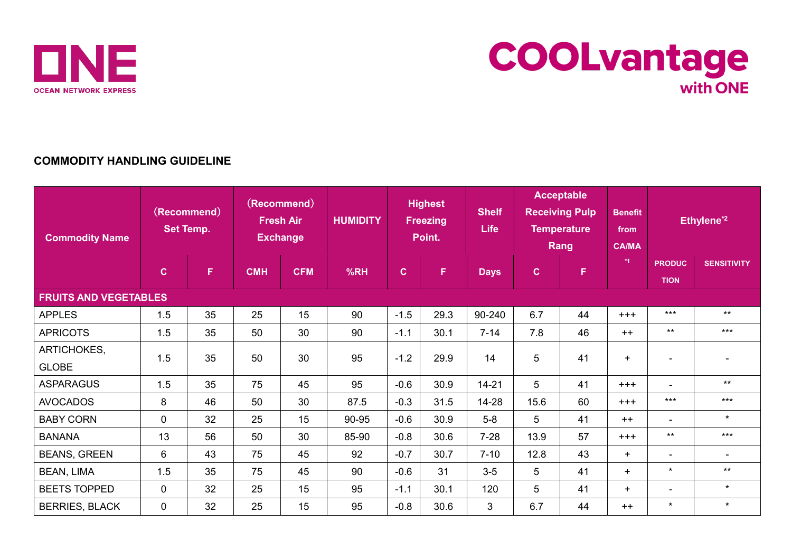



## **COMMODITY HANDLING GUIDELINE**

| <b>Commodity Name</b>        | (Recommend)<br><b>Set Temp.</b> |    | (Recommend)<br><b>Fresh Air</b><br><b>Exchange</b> |            | <b>HUMIDITY</b> | <b>Highest</b><br><b>Freezing</b><br>Point. |      | <b>Shelf</b><br><b>Life</b> | <b>Acceptable</b><br><b>Receiving Pulp</b><br><b>Temperature</b><br><b>Rang</b> |    | <b>Benefit</b><br>from<br><b>CA/MA</b> | Ethylene <sup>*2</sup>       |                          |
|------------------------------|---------------------------------|----|----------------------------------------------------|------------|-----------------|---------------------------------------------|------|-----------------------------|---------------------------------------------------------------------------------|----|----------------------------------------|------------------------------|--------------------------|
|                              | $\mathbf{C}$                    | F  | <b>CMH</b>                                         | <b>CFM</b> | %RH             | C                                           | F    | <b>Days</b>                 | $\mathbf{C}$                                                                    | F  | $*1$                                   | <b>PRODUC</b><br><b>TION</b> | <b>SENSITIVITY</b>       |
| <b>FRUITS AND VEGETABLES</b> |                                 |    |                                                    |            |                 |                                             |      |                             |                                                                                 |    |                                        |                              |                          |
| <b>APPLES</b>                | 1.5                             | 35 | 25                                                 | 15         | 90              | $-1.5$                                      | 29.3 | 90-240                      | 6.7                                                                             | 44 | $+++$                                  | $***$                        | $***$                    |
| <b>APRICOTS</b>              | 1.5                             | 35 | 50                                                 | 30         | 90              | $-1.1$                                      | 30.1 | $7 - 14$                    | 7.8                                                                             | 46 | $++$                                   | $***$                        | $***$                    |
| ARTICHOKES,                  | 1.5                             | 35 | 50                                                 | 30         | 95              | $-1.2$                                      | 29.9 | 14                          | 5                                                                               | 41 | $+$                                    | $\overline{\phantom{a}}$     | $\blacksquare$           |
| <b>GLOBE</b>                 |                                 |    |                                                    |            |                 |                                             |      |                             |                                                                                 |    |                                        |                              |                          |
| <b>ASPARAGUS</b>             | 1.5                             | 35 | 75                                                 | 45         | 95              | $-0.6$                                      | 30.9 | $14 - 21$                   | 5                                                                               | 41 | $+++$                                  | $\blacksquare$               | $***$                    |
| <b>AVOCADOS</b>              | 8                               | 46 | 50                                                 | 30         | 87.5            | $-0.3$                                      | 31.5 | 14-28                       | 15.6                                                                            | 60 | $+++$                                  | $***$                        | $***$                    |
| <b>BABY CORN</b>             | $\mathbf 0$                     | 32 | 25                                                 | 15         | 90-95           | $-0.6$                                      | 30.9 | $5-8$                       | 5                                                                               | 41 | $++$                                   | $\overline{\phantom{a}}$     | $\star$                  |
| <b>BANANA</b>                | 13                              | 56 | 50                                                 | 30         | 85-90           | $-0.8$                                      | 30.6 | $7-28$                      | 13.9                                                                            | 57 | $+++$                                  | $***$                        | $***$                    |
| <b>BEANS, GREEN</b>          | 6                               | 43 | 75                                                 | 45         | 92              | $-0.7$                                      | 30.7 | $7 - 10$                    | 12.8                                                                            | 43 | $+$                                    | $\overline{\phantom{0}}$     | $\overline{\phantom{0}}$ |
| <b>BEAN, LIMA</b>            | 1.5                             | 35 | 75                                                 | 45         | 90              | $-0.6$                                      | 31   | $3-5$                       | 5                                                                               | 41 | $+$                                    | $\star$                      | $***$                    |
| <b>BEETS TOPPED</b>          | $\Omega$                        | 32 | 25                                                 | 15         | 95              | $-1.1$                                      | 30.1 | 120                         | 5                                                                               | 41 | $+$                                    | $\overline{\phantom{0}}$     | $\star$                  |
| <b>BERRIES, BLACK</b>        | $\mathbf 0$                     | 32 | 25                                                 | 15         | 95              | $-0.8$                                      | 30.6 | 3                           | 6.7                                                                             | 44 | $++$                                   | $\star$                      | $\star$                  |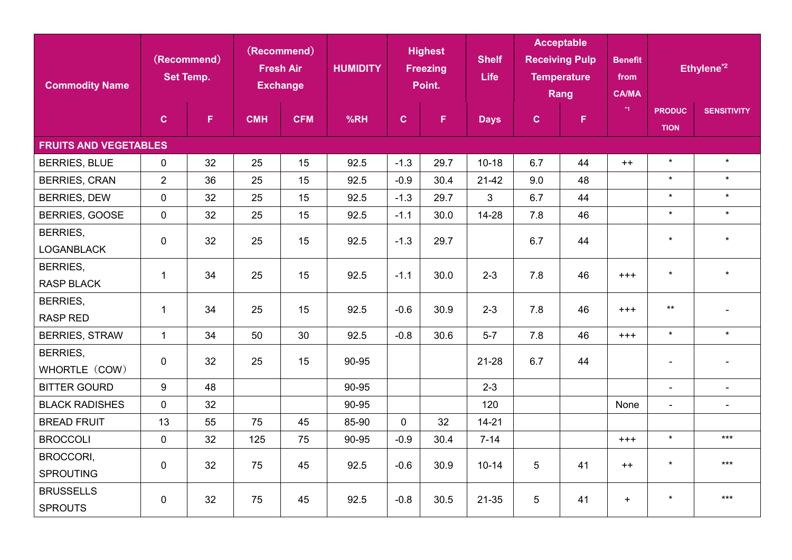| <b>Commodity Name</b>                | (Recommend)<br><b>Set Temp.</b> |    | (Recommend)<br><b>Fresh Air</b><br><b>Exchange</b> |            | <b>Highest</b><br><b>HUMIDITY</b><br><b>Freezing</b><br>Point. |              | <b>Shelf</b><br><b>Life</b> | <b>Acceptable</b><br><b>Receiving Pulp</b><br><b>Temperature</b><br>Rang |              | <b>Benefit</b><br>from<br><b>CA/MA</b> |          | Ethylene <sup>*2</sup>       |                    |
|--------------------------------------|---------------------------------|----|----------------------------------------------------|------------|----------------------------------------------------------------|--------------|-----------------------------|--------------------------------------------------------------------------|--------------|----------------------------------------|----------|------------------------------|--------------------|
|                                      | $\mathbf{C}$                    | F. | <b>CMH</b>                                         | <b>CFM</b> | %RH                                                            | $\mathbf{C}$ | $\mathsf F$                 | <b>Days</b>                                                              | $\mathbf{C}$ | $\mathsf F$                            | $*1$     | <b>PRODUC</b><br><b>TION</b> | <b>SENSITIVITY</b> |
| <b>FRUITS AND VEGETABLES</b>         |                                 |    |                                                    |            |                                                                |              |                             |                                                                          |              |                                        |          |                              |                    |
| <b>BERRIES, BLUE</b>                 | 0                               | 32 | 25                                                 | 15         | 92.5                                                           | $-1.3$       | 29.7                        | $10 - 18$                                                                | 6.7          | 44                                     | $++$     | $\star$                      | $\star$            |
| <b>BERRIES, CRAN</b>                 | $\overline{2}$                  | 36 | 25                                                 | 15         | 92.5                                                           | $-0.9$       | 30.4                        | $21-42$                                                                  | 9.0          | 48                                     |          | $\star$                      | $\star$            |
| <b>BERRIES, DEW</b>                  | $\mathbf 0$                     | 32 | 25                                                 | 15         | 92.5                                                           | $-1.3$       | 29.7                        | 3                                                                        | 6.7          | 44                                     |          | $\star$                      | $\star$            |
| BERRIES, GOOSE                       | $\mathbf 0$                     | 32 | 25                                                 | 15         | 92.5                                                           | $-1.1$       | 30.0                        | 14-28                                                                    | 7.8          | 46                                     |          | $\star$                      | $\star$            |
| <b>BERRIES,</b><br><b>LOGANBLACK</b> | $\mathbf 0$                     | 32 | 25                                                 | 15         | 92.5                                                           | $-1.3$       | 29.7                        |                                                                          | 6.7          | 44                                     |          | $\star$                      | $\star$            |
| <b>BERRIES,</b>                      |                                 |    |                                                    |            |                                                                |              |                             |                                                                          |              |                                        |          |                              |                    |
| <b>RASP BLACK</b>                    | $\mathbf{1}$                    | 34 | 25                                                 | 15         | 92.5                                                           | $-1.1$       | 30.0                        | $2 - 3$                                                                  | 7.8          | 46                                     | $^{+++}$ | $\star$                      | $\star$            |
| <b>BERRIES,</b><br><b>RASP RED</b>   | $\mathbf{1}$                    | 34 | 25                                                 | 15         | 92.5                                                           | $-0.6$       | 30.9                        | $2 - 3$                                                                  | 7.8          | 46                                     | $+ + +$  | $***$                        |                    |
| <b>BERRIES, STRAW</b>                | $\mathbf{1}$                    | 34 | 50                                                 | 30         | 92.5                                                           | $-0.8$       | 30.6                        | $5-7$                                                                    | 7.8          | 46                                     | $^{+++}$ | $\star$                      | $\star$            |
| <b>BERRIES,</b><br>WHORTLE (COW)     | $\mathbf 0$                     | 32 | 25                                                 | 15         | 90-95                                                          |              |                             | 21-28                                                                    | 6.7          | 44                                     |          | $\blacksquare$               |                    |
| <b>BITTER GOURD</b>                  | 9                               | 48 |                                                    |            | 90-95                                                          |              |                             | $2 - 3$                                                                  |              |                                        |          | $\mathbf{r}$                 | $\blacksquare$     |
| <b>BLACK RADISHES</b>                | $\mathbf 0$                     | 32 |                                                    |            | 90-95                                                          |              |                             | 120                                                                      |              |                                        | None     | $\overline{\phantom{a}}$     | $\blacksquare$     |
| <b>BREAD FRUIT</b>                   | 13                              | 55 | 75                                                 | 45         | 85-90                                                          | $\mathbf{0}$ | 32                          | $14 - 21$                                                                |              |                                        |          |                              |                    |
| <b>BROCCOLI</b>                      | $\mathbf 0$                     | 32 | 125                                                | 75         | 90-95                                                          | $-0.9$       | 30.4                        | $7 - 14$                                                                 |              |                                        | $^{+++}$ | $\star$                      | $***$              |
| BROCCORI,<br><b>SPROUTING</b>        | $\mathbf 0$                     | 32 | 75                                                 | 45         | 92.5                                                           | $-0.6$       | 30.9                        | $10 - 14$                                                                | 5            | 41                                     | $++$     | $\star$                      | $***$              |
| <b>BRUSSELLS</b><br><b>SPROUTS</b>   | $\mathbf 0$                     | 32 | 75                                                 | 45         | 92.5                                                           | $-0.8$       | 30.5                        | 21-35                                                                    | 5            | 41                                     | $+$      | $\star$                      | $***$              |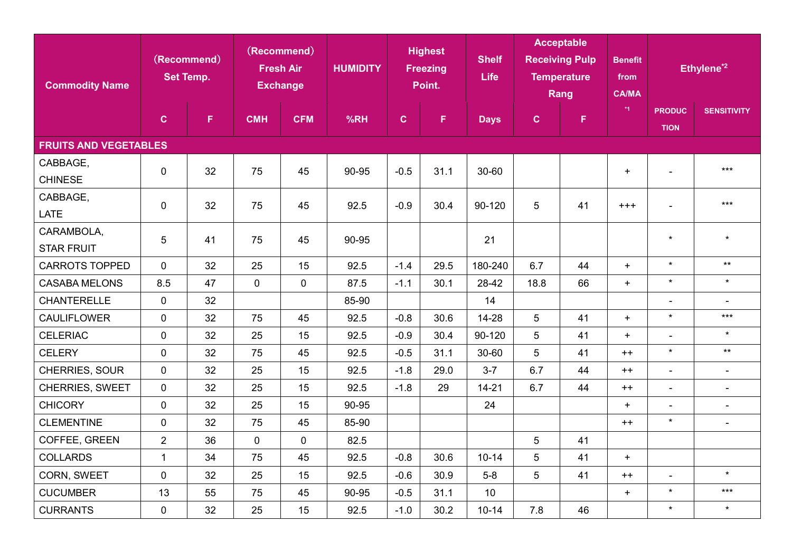| <b>Commodity Name</b>           | (Recommend)<br><b>Set Temp.</b> |    | (Recommend)<br><b>Fresh Air</b><br><b>Exchange</b> |             | <b>HUMIDITY</b> | <b>Highest</b><br><b>Freezing</b><br>Point. |      | <b>Shelf</b><br><b>Life</b> | <b>Acceptable</b><br><b>Receiving Pulp</b><br><b>Temperature</b><br>Rang |    | <b>Benefit</b><br>from<br><b>CA/MA</b> | Ethylene <sup>*2</sup>       |                          |
|---------------------------------|---------------------------------|----|----------------------------------------------------|-------------|-----------------|---------------------------------------------|------|-----------------------------|--------------------------------------------------------------------------|----|----------------------------------------|------------------------------|--------------------------|
|                                 | $\mathbf{C}$                    | F  | <b>CMH</b>                                         | <b>CFM</b>  | %RH             | $\mathbf{C}$                                | F.   | <b>Days</b>                 | $\mathbf{C}$                                                             | F. | $*1$                                   | <b>PRODUC</b><br><b>TION</b> | <b>SENSITIVITY</b>       |
| <b>FRUITS AND VEGETABLES</b>    |                                 |    |                                                    |             |                 |                                             |      |                             |                                                                          |    |                                        |                              |                          |
| CABBAGE,<br><b>CHINESE</b>      | $\mathbf 0$                     | 32 | 75                                                 | 45          | 90-95           | $-0.5$                                      | 31.1 | 30-60                       |                                                                          |    | $+$                                    |                              | $***$                    |
| CABBAGE,<br><b>LATE</b>         | $\mathbf 0$                     | 32 | 75                                                 | 45          | 92.5            | $-0.9$                                      | 30.4 | 90-120                      | 5                                                                        | 41 | $+ + +$                                |                              | $***$                    |
| CARAMBOLA,<br><b>STAR FRUIT</b> | $\overline{5}$                  | 41 | 75                                                 | 45          | 90-95           |                                             |      | 21                          |                                                                          |    |                                        | $\star$                      | $\star$                  |
| <b>CARROTS TOPPED</b>           | $\overline{0}$                  | 32 | 25                                                 | 15          | 92.5            | $-1.4$                                      | 29.5 | 180-240                     | 6.7                                                                      | 44 | $+$                                    | $\star$                      | $\star\star$             |
| <b>CASABA MELONS</b>            | 8.5                             | 47 | $\mathbf 0$                                        | $\mathbf 0$ | 87.5            | $-1.1$                                      | 30.1 | 28-42                       | 18.8                                                                     | 66 | $+$                                    | $\star$                      | $\star$                  |
| <b>CHANTERELLE</b>              | $\mathbf 0$                     | 32 |                                                    |             | 85-90           |                                             |      | 14                          |                                                                          |    |                                        | $\overline{\phantom{a}}$     | $\blacksquare$           |
| <b>CAULIFLOWER</b>              | $\mathbf 0$                     | 32 | 75                                                 | 45          | 92.5            | $-0.8$                                      | 30.6 | 14-28                       | 5                                                                        | 41 | $+$                                    | $\star$                      | $***$                    |
| <b>CELERIAC</b>                 | $\mathbf 0$                     | 32 | 25                                                 | 15          | 92.5            | $-0.9$                                      | 30.4 | 90-120                      | 5                                                                        | 41 | $+$                                    | $\blacksquare$               | $\star$                  |
| <b>CELERY</b>                   | $\mathbf 0$                     | 32 | 75                                                 | 45          | 92.5            | $-0.5$                                      | 31.1 | 30-60                       | 5                                                                        | 41 | $++$                                   | $\star$                      | $***$                    |
| CHERRIES, SOUR                  | $\mathbf 0$                     | 32 | 25                                                 | 15          | 92.5            | $-1.8$                                      | 29.0 | $3 - 7$                     | 6.7                                                                      | 44 | $++$                                   |                              | $\overline{\phantom{a}}$ |
| CHERRIES, SWEET                 | $\mathbf{0}$                    | 32 | 25                                                 | 15          | 92.5            | $-1.8$                                      | 29   | $14 - 21$                   | 6.7                                                                      | 44 | $++$                                   | $\blacksquare$               | $\blacksquare$           |
| <b>CHICORY</b>                  | $\mathbf 0$                     | 32 | 25                                                 | 15          | 90-95           |                                             |      | 24                          |                                                                          |    | $+$                                    | $\blacksquare$               | $\overline{\phantom{a}}$ |
| <b>CLEMENTINE</b>               | $\mathbf 0$                     | 32 | 75                                                 | 45          | 85-90           |                                             |      |                             |                                                                          |    | $++$                                   | $\star$                      | $\blacksquare$           |
| COFFEE, GREEN                   | $\overline{2}$                  | 36 | $\mathbf 0$                                        | $\mathbf 0$ | 82.5            |                                             |      |                             | 5                                                                        | 41 |                                        |                              |                          |
| <b>COLLARDS</b>                 | $\mathbf{1}$                    | 34 | 75                                                 | 45          | 92.5            | $-0.8$                                      | 30.6 | $10 - 14$                   | 5                                                                        | 41 | $+$                                    |                              |                          |
| CORN, SWEET                     | $\mathbf 0$                     | 32 | 25                                                 | 15          | 92.5            | $-0.6$                                      | 30.9 | $5-8$                       | 5                                                                        | 41 | $++$                                   | $\blacksquare$               | $\star$                  |
| <b>CUCUMBER</b>                 | 13                              | 55 | 75                                                 | 45          | 90-95           | $-0.5$                                      | 31.1 | 10                          |                                                                          |    | $+$                                    | $\star$                      | $***$                    |
| <b>CURRANTS</b>                 | 0                               | 32 | 25                                                 | 15          | 92.5            | $-1.0$                                      | 30.2 | $10 - 14$                   | 7.8                                                                      | 46 |                                        | $\star$                      | $\star$                  |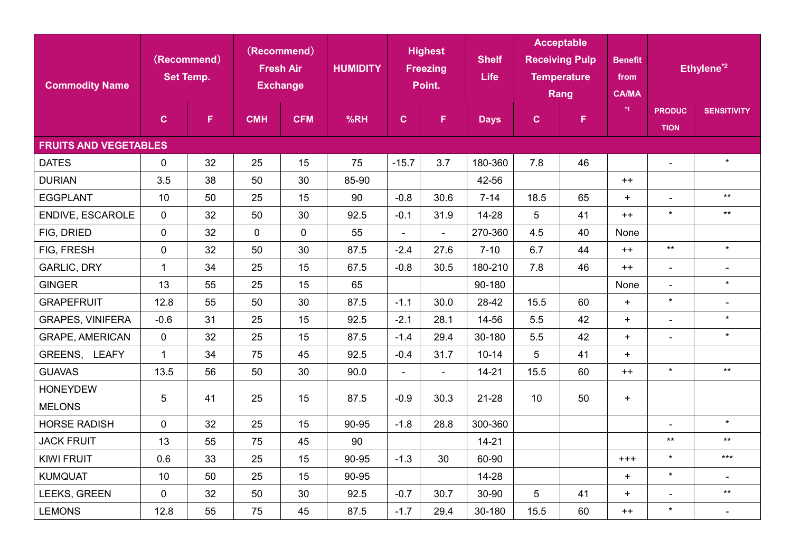| <b>Commodity Name</b>            | (Recommend)<br><b>Set Temp.</b> |    | (Recommend)<br><b>Fresh Air</b><br><b>Exchange</b> |             | <b>HUMIDITY</b> | <b>Highest</b><br><b>Freezing</b><br>Point. |                | <b>Shelf</b><br><b>Life</b> | <b>Acceptable</b><br><b>Receiving Pulp</b><br><b>Temperature</b><br>Rang |    | <b>Benefit</b><br>from<br><b>CA/MA</b> |                              | Ethylene <sup>*2</sup>   |
|----------------------------------|---------------------------------|----|----------------------------------------------------|-------------|-----------------|---------------------------------------------|----------------|-----------------------------|--------------------------------------------------------------------------|----|----------------------------------------|------------------------------|--------------------------|
|                                  | $\mathbf{C}$                    | F. | <b>CMH</b>                                         | <b>CFM</b>  | %RH             | $\mathbf{C}$                                | F.             | <b>Days</b>                 | $\mathbf{C}$                                                             | F  | $*_{1}$                                | <b>PRODUC</b><br><b>TION</b> | <b>SENSITIVITY</b>       |
| <b>FRUITS AND VEGETABLES</b>     |                                 |    |                                                    |             |                 |                                             |                |                             |                                                                          |    |                                        |                              |                          |
| <b>DATES</b>                     | $\mathbf 0$                     | 32 | 25                                                 | 15          | 75              | $-15.7$                                     | 3.7            | 180-360                     | 7.8                                                                      | 46 |                                        | $\blacksquare$               | $\star$                  |
| <b>DURIAN</b>                    | 3.5                             | 38 | 50                                                 | 30          | 85-90           |                                             |                | 42-56                       |                                                                          |    | $++$                                   |                              |                          |
| <b>EGGPLANT</b>                  | 10 <sup>°</sup>                 | 50 | 25                                                 | 15          | 90              | $-0.8$                                      | 30.6           | $7 - 14$                    | 18.5                                                                     | 65 | $+$                                    | $\blacksquare$               | $***$                    |
| ENDIVE, ESCAROLE                 | $\mathbf 0$                     | 32 | 50                                                 | 30          | 92.5            | $-0.1$                                      | 31.9           | 14-28                       | 5                                                                        | 41 | $++$                                   | $\star$                      | $***$                    |
| FIG, DRIED                       | $\mathbf 0$                     | 32 | $\overline{0}$                                     | $\mathbf 0$ | 55              | $\overline{a}$                              | $\overline{a}$ | 270-360                     | 4.5                                                                      | 40 | None                                   |                              |                          |
| FIG, FRESH                       | $\mathbf 0$                     | 32 | 50                                                 | 30          | 87.5            | $-2.4$                                      | 27.6           | $7 - 10$                    | 6.7                                                                      | 44 | $++$                                   | $\star\star$                 | $\star$                  |
| <b>GARLIC, DRY</b>               | $\mathbf{1}$                    | 34 | 25                                                 | 15          | 67.5            | $-0.8$                                      | 30.5           | 180-210                     | 7.8                                                                      | 46 | $++$                                   | $\blacksquare$               | $\overline{\phantom{a}}$ |
| <b>GINGER</b>                    | 13                              | 55 | 25                                                 | 15          | 65              |                                             |                | 90-180                      |                                                                          |    | None                                   | $\blacksquare$               | $\star$                  |
| <b>GRAPEFRUIT</b>                | 12.8                            | 55 | 50                                                 | 30          | 87.5            | $-1.1$                                      | 30.0           | 28-42                       | 15.5                                                                     | 60 | $+$                                    | $\star$                      | $\overline{\phantom{a}}$ |
| <b>GRAPES, VINIFERA</b>          | $-0.6$                          | 31 | 25                                                 | 15          | 92.5            | $-2.1$                                      | 28.1           | 14-56                       | 5.5                                                                      | 42 | $+$                                    | $\overline{\phantom{a}}$     | $\star$                  |
| <b>GRAPE, AMERICAN</b>           | $\mathbf 0$                     | 32 | 25                                                 | 15          | 87.5            | $-1.4$                                      | 29.4           | 30-180                      | 5.5                                                                      | 42 | $+$                                    | $\blacksquare$               | $\star$                  |
| GREENS, LEAFY                    | $\mathbf{1}$                    | 34 | 75                                                 | 45          | 92.5            | $-0.4$                                      | 31.7           | $10 - 14$                   | 5                                                                        | 41 | $+$                                    |                              |                          |
| <b>GUAVAS</b>                    | 13.5                            | 56 | 50                                                 | 30          | 90.0            | $\overline{\phantom{a}}$                    |                | $14 - 21$                   | 15.5                                                                     | 60 | $++$                                   | $\star$                      | $***$                    |
| <b>HONEYDEW</b><br><b>MELONS</b> | 5                               | 41 | 25                                                 | 15          | 87.5            | $-0.9$                                      | 30.3           | 21-28                       | 10                                                                       | 50 | $+$                                    |                              |                          |
| <b>HORSE RADISH</b>              | $\mathbf 0$                     | 32 | 25                                                 | 15          | 90-95           | $-1.8$                                      | 28.8           | 300-360                     |                                                                          |    |                                        |                              | $\star$                  |
| <b>JACK FRUIT</b>                | 13                              | 55 | 75                                                 | 45          | 90              |                                             |                | $14 - 21$                   |                                                                          |    |                                        | $\star\star$                 | $***$                    |
| <b>KIWI FRUIT</b>                | 0.6                             | 33 | 25                                                 | 15          | 90-95           | $-1.3$                                      | 30             | 60-90                       |                                                                          |    | $^{+++}$                               | $\star$                      | $***$                    |
| <b>KUMQUAT</b>                   | 10                              | 50 | 25                                                 | 15          | 90-95           |                                             |                | 14-28                       |                                                                          |    | $+$                                    | $\star$                      | $\blacksquare$           |
| LEEKS, GREEN                     | $\mathbf 0$                     | 32 | 50                                                 | 30          | 92.5            | $-0.7$                                      | 30.7           | 30-90                       | 5                                                                        | 41 | $+$                                    | $\blacksquare$               | $***$                    |
| <b>LEMONS</b>                    | 12.8                            | 55 | 75                                                 | 45          | 87.5            | $-1.7$                                      | 29.4           | 30-180                      | 15.5                                                                     | 60 | $++$                                   | $\star$                      | $\blacksquare$           |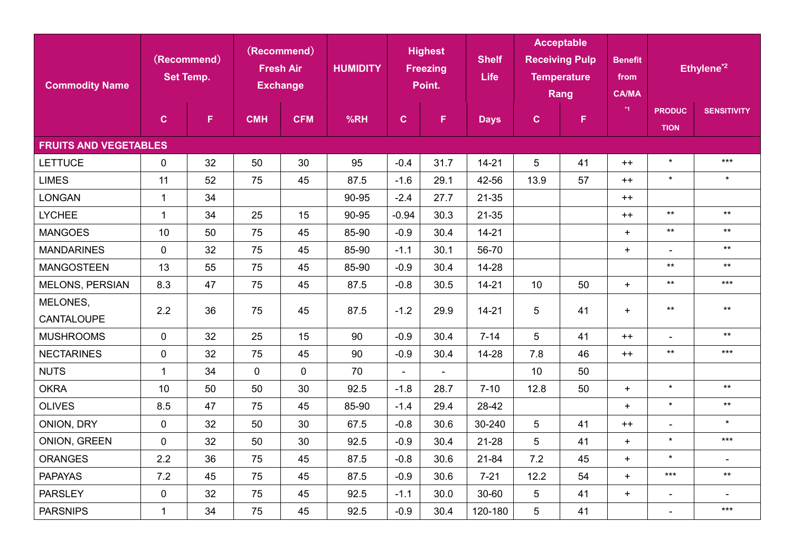| <b>Commodity Name</b>        | (Recommend)<br><b>Set Temp.</b> |    | (Recommend)<br><b>Fresh Air</b><br><b>Exchange</b> |             | <b>Highest</b><br><b>HUMIDITY</b><br><b>Freezing</b><br>Point. |                          | <b>Shelf</b><br><b>Life</b> | <b>Acceptable</b><br><b>Receiving Pulp</b><br><b>Temperature</b><br>Rang |              | <b>Benefit</b><br>from<br><b>CA/MA</b> | Ethylene <sup>*2</sup> |                              |                    |
|------------------------------|---------------------------------|----|----------------------------------------------------|-------------|----------------------------------------------------------------|--------------------------|-----------------------------|--------------------------------------------------------------------------|--------------|----------------------------------------|------------------------|------------------------------|--------------------|
|                              | $\mathbf{C}$                    | F. | <b>CMH</b>                                         | <b>CFM</b>  | %RH                                                            | $\mathbf{C}$             | F.                          | <b>Days</b>                                                              | $\mathbf{C}$ | F.                                     | $*1$                   | <b>PRODUC</b><br><b>TION</b> | <b>SENSITIVITY</b> |
| <b>FRUITS AND VEGETABLES</b> |                                 |    |                                                    |             |                                                                |                          |                             |                                                                          |              |                                        |                        |                              |                    |
| <b>LETTUCE</b>               | $\mathbf 0$                     | 32 | 50                                                 | 30          | 95                                                             | $-0.4$                   | 31.7                        | $14 - 21$                                                                | 5            | 41                                     | $++$                   | $\star$                      | $***$              |
| <b>LIMES</b>                 | 11                              | 52 | 75                                                 | 45          | 87.5                                                           | $-1.6$                   | 29.1                        | 42-56                                                                    | 13.9         | 57                                     | $++$                   | $\star$                      | $\star$            |
| <b>LONGAN</b>                | $\mathbf{1}$                    | 34 |                                                    |             | 90-95                                                          | $-2.4$                   | 27.7                        | 21-35                                                                    |              |                                        | $++$                   |                              |                    |
| <b>LYCHEE</b>                | $\mathbf{1}$                    | 34 | 25                                                 | 15          | 90-95                                                          | $-0.94$                  | 30.3                        | 21-35                                                                    |              |                                        | $++$                   | $***$                        | $***$              |
| <b>MANGOES</b>               | 10                              | 50 | 75                                                 | 45          | 85-90                                                          | $-0.9$                   | 30.4                        | $14 - 21$                                                                |              |                                        | $+$                    | $\star\star$                 | $***$              |
| <b>MANDARINES</b>            | $\mathbf 0$                     | 32 | 75                                                 | 45          | 85-90                                                          | $-1.1$                   | 30.1                        | 56-70                                                                    |              |                                        | $+$                    | $\blacksquare$               | $***$              |
| <b>MANGOSTEEN</b>            | 13                              | 55 | 75                                                 | 45          | 85-90                                                          | $-0.9$                   | 30.4                        | 14-28                                                                    |              |                                        |                        | $\star\star$                 | $***$              |
| <b>MELONS, PERSIAN</b>       | 8.3                             | 47 | 75                                                 | 45          | 87.5                                                           | $-0.8$                   | 30.5                        | $14 - 21$                                                                | 10           | 50                                     | $+$                    | $\star\star$                 | $***$              |
| MELONES,                     | 2.2                             | 36 | 75                                                 | 45          | 87.5                                                           | $-1.2$                   | 29.9                        | $14 - 21$                                                                | 5            | 41                                     | $+$                    | $***$                        | $***$              |
| <b>CANTALOUPE</b>            |                                 |    |                                                    |             |                                                                |                          |                             |                                                                          |              |                                        |                        |                              |                    |
| <b>MUSHROOMS</b>             | $\mathbf{0}$                    | 32 | 25                                                 | 15          | 90                                                             | $-0.9$                   | 30.4                        | $7 - 14$                                                                 | 5            | 41                                     | $++$                   | $\blacksquare$               | $***$              |
| <b>NECTARINES</b>            | $\mathbf 0$                     | 32 | 75                                                 | 45          | 90                                                             | $-0.9$                   | 30.4                        | 14-28                                                                    | 7.8          | 46                                     | $++$                   | $***$                        | $***$              |
| <b>NUTS</b>                  | $\mathbf{1}$                    | 34 | $\mathbf 0$                                        | $\mathbf 0$ | 70                                                             | $\overline{\phantom{0}}$ | $\overline{\phantom{0}}$    |                                                                          | 10           | 50                                     |                        |                              |                    |
| <b>OKRA</b>                  | 10                              | 50 | 50                                                 | 30          | 92.5                                                           | $-1.8$                   | 28.7                        | $7 - 10$                                                                 | 12.8         | 50                                     | $+$                    | $\star$                      | $***$              |
| <b>OLIVES</b>                | 8.5                             | 47 | 75                                                 | 45          | 85-90                                                          | $-1.4$                   | 29.4                        | 28-42                                                                    |              |                                        | $+$                    | $\star$                      | $***$              |
| ONION, DRY                   | $\mathbf 0$                     | 32 | 50                                                 | 30          | 67.5                                                           | $-0.8$                   | 30.6                        | 30-240                                                                   | 5            | 41                                     | $++$                   | $\blacksquare$               | $\star$            |
| ONION, GREEN                 | $\mathbf 0$                     | 32 | 50                                                 | 30          | 92.5                                                           | $-0.9$                   | 30.4                        | 21-28                                                                    | 5            | 41                                     | $+$                    | $\star$                      | $***$              |
| <b>ORANGES</b>               | 2.2                             | 36 | 75                                                 | 45          | 87.5                                                           | $-0.8$                   | 30.6                        | 21-84                                                                    | 7.2          | 45                                     | $+$                    | $\star$                      | $\blacksquare$     |
| <b>PAPAYAS</b>               | 7.2                             | 45 | 75                                                 | 45          | 87.5                                                           | $-0.9$                   | 30.6                        | $7 - 21$                                                                 | 12.2         | 54                                     | $+$                    | $***$                        | $***$              |
| <b>PARSLEY</b>               | $\mathbf 0$                     | 32 | 75                                                 | 45          | 92.5                                                           | $-1.1$                   | 30.0                        | 30-60                                                                    | 5            | 41                                     | $+$                    | $\blacksquare$               | $\blacksquare$     |
| <b>PARSNIPS</b>              | $\mathbf{1}$                    | 34 | 75                                                 | 45          | 92.5                                                           | $-0.9$                   | 30.4                        | 120-180                                                                  | 5            | 41                                     |                        |                              | $***$              |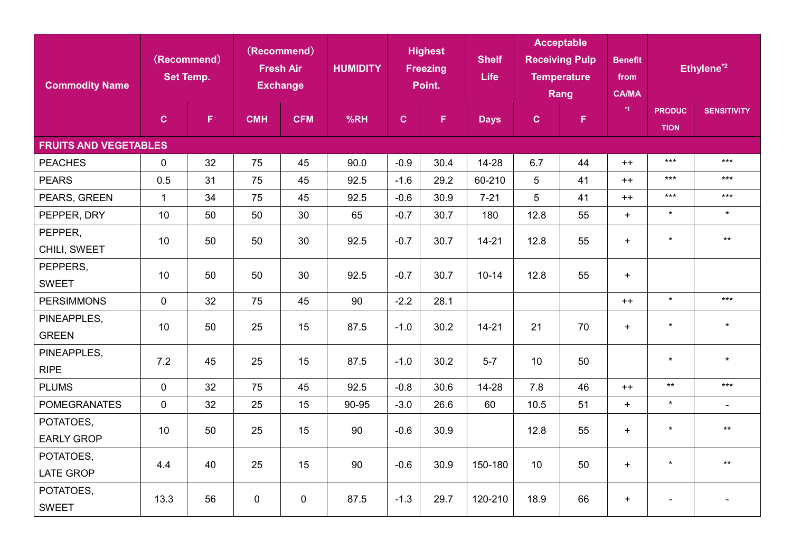| <b>Commodity Name</b>          | (Recommend)<br><b>Set Temp.</b> |    | (Recommend)<br><b>Fresh Air</b><br><b>Exchange</b> |             | <b>Highest</b><br><b>HUMIDITY</b><br><b>Freezing</b><br>Point. |              | <b>Shelf</b><br><b>Life</b> | <b>Acceptable</b><br><b>Receiving Pulp</b><br><b>Temperature</b><br>Rang |              | <b>Benefit</b><br>from<br><b>CA/MA</b> | Ethylene <sup>*2</sup> |                              |                    |
|--------------------------------|---------------------------------|----|----------------------------------------------------|-------------|----------------------------------------------------------------|--------------|-----------------------------|--------------------------------------------------------------------------|--------------|----------------------------------------|------------------------|------------------------------|--------------------|
|                                | $\mathbf C$                     | F. | <b>CMH</b>                                         | <b>CFM</b>  | %RH                                                            | $\mathbf{C}$ | F.                          | <b>Days</b>                                                              | $\mathbf{C}$ | F.                                     | $*1$                   | <b>PRODUC</b><br><b>TION</b> | <b>SENSITIVITY</b> |
| <b>FRUITS AND VEGETABLES</b>   |                                 |    |                                                    |             |                                                                |              |                             |                                                                          |              |                                        |                        |                              |                    |
| <b>PEACHES</b>                 | $\mathbf 0$                     | 32 | 75                                                 | 45          | 90.0                                                           | $-0.9$       | 30.4                        | 14-28                                                                    | 6.7          | 44                                     | $++$                   | $***$                        | $***$              |
| <b>PEARS</b>                   | 0.5                             | 31 | 75                                                 | 45          | 92.5                                                           | $-1.6$       | 29.2                        | 60-210                                                                   | 5            | 41                                     | $++$                   | $***$                        | $***$              |
| PEARS, GREEN                   | $\mathbf{1}$                    | 34 | 75                                                 | 45          | 92.5                                                           | $-0.6$       | 30.9                        | $7 - 21$                                                                 | 5            | 41                                     | $++$                   | $***$                        | $***$              |
| PEPPER, DRY                    | 10                              | 50 | 50                                                 | 30          | 65                                                             | $-0.7$       | 30.7                        | 180                                                                      | 12.8         | 55                                     | $+$                    | $\star$                      | $\star$            |
| PEPPER,<br>CHILI, SWEET        | 10                              | 50 | 50                                                 | 30          | 92.5                                                           | $-0.7$       | 30.7                        | $14 - 21$                                                                | 12.8         | 55                                     | $+$                    | $\star$                      | $***$              |
| PEPPERS,<br><b>SWEET</b>       | 10                              | 50 | 50                                                 | 30          | 92.5                                                           | $-0.7$       | 30.7                        | $10 - 14$                                                                | 12.8         | 55                                     | $+$                    |                              |                    |
| <b>PERSIMMONS</b>              | $\mathbf 0$                     | 32 | 75                                                 | 45          | 90                                                             | $-2.2$       | 28.1                        |                                                                          |              |                                        | $++$                   | $\star$                      | $***$              |
| PINEAPPLES,<br><b>GREEN</b>    | 10                              | 50 | 25                                                 | 15          | 87.5                                                           | $-1.0$       | 30.2                        | $14 - 21$                                                                | 21           | 70                                     | $+$                    | $\star$                      | $\star$            |
| PINEAPPLES,<br><b>RIPE</b>     | 7.2                             | 45 | 25                                                 | 15          | 87.5                                                           | $-1.0$       | 30.2                        | $5 - 7$                                                                  | 10           | 50                                     |                        | $\star$                      | $\star$            |
| <b>PLUMS</b>                   | $\mathbf 0$                     | 32 | 75                                                 | 45          | 92.5                                                           | $-0.8$       | 30.6                        | 14-28                                                                    | 7.8          | 46                                     | $++$                   | $\star\star$                 | $***$              |
| <b>POMEGRANATES</b>            | $\mathbf 0$                     | 32 | 25                                                 | 15          | 90-95                                                          | $-3.0$       | 26.6                        | 60                                                                       | 10.5         | 51                                     | $+$                    | $\star$                      | $\blacksquare$     |
| POTATOES,<br><b>EARLY GROP</b> | 10                              | 50 | 25                                                 | 15          | 90                                                             | $-0.6$       | 30.9                        |                                                                          | 12.8         | 55                                     | $+$                    | $\star$                      | $\star\star$       |
| POTATOES,<br><b>LATE GROP</b>  | 4.4                             | 40 | 25                                                 | 15          | 90                                                             | $-0.6$       | 30.9                        | 150-180                                                                  | 10           | 50                                     | $+$                    | $\star$                      | $***$              |
| POTATOES,<br><b>SWEET</b>      | 13.3                            | 56 | $\mathbf 0$                                        | $\mathbf 0$ | 87.5                                                           | $-1.3$       | 29.7                        | 120-210                                                                  | 18.9         | 66                                     | $+$                    |                              |                    |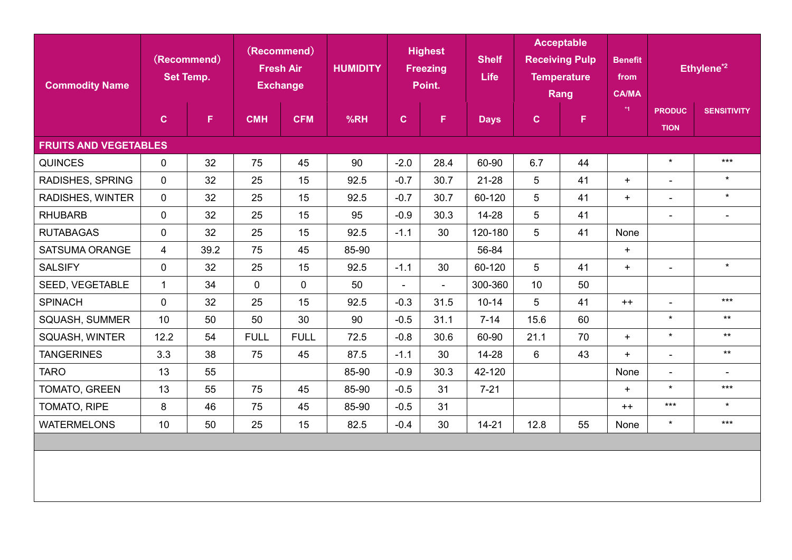| <b>Commodity Name</b>        | (Recommend)<br><b>Set Temp.</b> |      | (Recommend)<br><b>Fresh Air</b><br><b>Exchange</b> |             | <b>Highest</b><br><b>HUMIDITY</b><br><b>Freezing</b><br>Point. |                | <b>Shelf</b><br>Life | <b>Acceptable</b><br><b>Receiving Pulp</b><br><b>Temperature</b><br>Rang |                 | <b>Benefit</b><br>from<br><b>CA/MA</b> |         | Ethylene <sup>*2</sup>       |                          |
|------------------------------|---------------------------------|------|----------------------------------------------------|-------------|----------------------------------------------------------------|----------------|----------------------|--------------------------------------------------------------------------|-----------------|----------------------------------------|---------|------------------------------|--------------------------|
|                              | $\mathbf{C}$                    | F.   | <b>CMH</b>                                         | <b>CFM</b>  | %RH                                                            | $\mathbf{C}$   | F.                   | <b>Days</b>                                                              | $\mathbf{C}$    | $\mathsf F$                            | $*_{1}$ | <b>PRODUC</b><br><b>TION</b> | <b>SENSITIVITY</b>       |
| <b>FRUITS AND VEGETABLES</b> |                                 |      |                                                    |             |                                                                |                |                      |                                                                          |                 |                                        |         |                              |                          |
| <b>QUINCES</b>               | $\mathbf 0$                     | 32   | 75                                                 | 45          | 90                                                             | $-2.0$         | 28.4                 | 60-90                                                                    | 6.7             | 44                                     |         | $\star$                      | $***$                    |
| RADISHES, SPRING             | $\mathbf{0}$                    | 32   | 25                                                 | 15          | 92.5                                                           | $-0.7$         | 30.7                 | 21-28                                                                    | $\overline{5}$  | 41                                     | $+$     | $\overline{\phantom{a}}$     | $\star$                  |
| RADISHES, WINTER             | $\mathbf{0}$                    | 32   | 25                                                 | 15          | 92.5                                                           | $-0.7$         | 30.7                 | 60-120                                                                   | $5\phantom{.0}$ | 41                                     | $+$     | $\blacksquare$               | $\star$                  |
| <b>RHUBARB</b>               | $\mathbf 0$                     | 32   | 25                                                 | 15          | 95                                                             | $-0.9$         | 30.3                 | 14-28                                                                    | 5               | 41                                     |         | $\overline{\phantom{a}}$     | $\overline{\phantom{0}}$ |
| <b>RUTABAGAS</b>             | $\mathbf 0$                     | 32   | 25                                                 | 15          | 92.5                                                           | $-1.1$         | 30                   | 120-180                                                                  | $5\phantom{.0}$ | 41                                     | None    |                              |                          |
| <b>SATSUMA ORANGE</b>        | $\overline{4}$                  | 39.2 | 75                                                 | 45          | 85-90                                                          |                |                      | 56-84                                                                    |                 |                                        | $+$     |                              |                          |
| <b>SALSIFY</b>               | $\mathbf 0$                     | 32   | 25                                                 | 15          | 92.5                                                           | $-1.1$         | 30                   | 60-120                                                                   | 5               | 41                                     | $+$     | $\overline{\phantom{0}}$     | $\star$                  |
| SEED, VEGETABLE              | $\mathbf{1}$                    | 34   | $\overline{0}$                                     | $\mathbf 0$ | 50                                                             | $\blacksquare$ | $\blacksquare$       | 300-360                                                                  | 10              | 50                                     |         |                              |                          |
| <b>SPINACH</b>               | $\mathbf 0$                     | 32   | 25                                                 | 15          | 92.5                                                           | $-0.3$         | 31.5                 | $10 - 14$                                                                | 5               | 41                                     | $++$    | $\blacksquare$               | $***$                    |
| SQUASH, SUMMER               | 10                              | 50   | 50                                                 | 30          | 90                                                             | $-0.5$         | 31.1                 | $7 - 14$                                                                 | 15.6            | 60                                     |         | $\star$                      | $***$                    |
| <b>SQUASH, WINTER</b>        | 12.2                            | 54   | <b>FULL</b>                                        | <b>FULL</b> | 72.5                                                           | $-0.8$         | 30.6                 | 60-90                                                                    | 21.1            | 70                                     | $+$     | $\star$                      | $***$                    |
| <b>TANGERINES</b>            | 3.3                             | 38   | 75                                                 | 45          | 87.5                                                           | $-1.1$         | 30                   | 14-28                                                                    | $6\phantom{1}$  | 43                                     | $+$     | $\overline{a}$               | $***$                    |
| <b>TARO</b>                  | 13                              | 55   |                                                    |             | 85-90                                                          | $-0.9$         | 30.3                 | 42-120                                                                   |                 |                                        | None    | $\blacksquare$               | $\overline{\phantom{a}}$ |
| TOMATO, GREEN                | 13                              | 55   | 75                                                 | 45          | 85-90                                                          | $-0.5$         | 31                   | $7 - 21$                                                                 |                 |                                        | $+$     | $\star$                      | $***$                    |
| TOMATO, RIPE                 | 8                               | 46   | 75                                                 | 45          | 85-90                                                          | $-0.5$         | 31                   |                                                                          |                 |                                        | $++$    | $***$                        | $\star$                  |
| <b>WATERMELONS</b>           | 10                              | 50   | 25                                                 | 15          | 82.5                                                           | $-0.4$         | 30                   | $14 - 21$                                                                | 12.8            | 55                                     | None    | $\star$                      | $***$                    |
|                              |                                 |      |                                                    |             |                                                                |                |                      |                                                                          |                 |                                        |         |                              |                          |
|                              |                                 |      |                                                    |             |                                                                |                |                      |                                                                          |                 |                                        |         |                              |                          |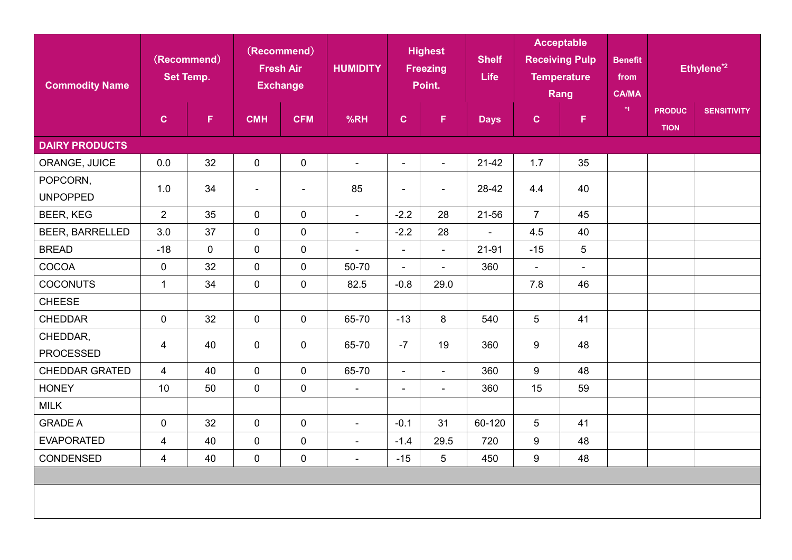| <b>Commodity Name</b>        | (Recommend)<br><b>Set Temp.</b> |    | (Recommend)<br><b>Fresh Air</b><br><b>Exchange</b> |                          | <b>Highest</b><br><b>HUMIDITY</b><br><b>Freezing</b><br>Point. |                          | <b>Shelf</b><br><b>Life</b> | <b>Acceptable</b><br><b>Receiving Pulp</b><br><b>Temperature</b><br>Rang |                | <b>Benefit</b><br>from<br><b>CA/MA</b> |      | Ethylene <sup>*2</sup>       |                    |
|------------------------------|---------------------------------|----|----------------------------------------------------|--------------------------|----------------------------------------------------------------|--------------------------|-----------------------------|--------------------------------------------------------------------------|----------------|----------------------------------------|------|------------------------------|--------------------|
|                              | $\mathbf C$                     | F  | <b>CMH</b>                                         | <b>CFM</b>               | %RH                                                            | $\mathbf C$              | F.                          | <b>Days</b>                                                              | $\mathbf C$    | $\mathsf F$                            | $*1$ | <b>PRODUC</b><br><b>TION</b> | <b>SENSITIVITY</b> |
| <b>DAIRY PRODUCTS</b>        |                                 |    |                                                    |                          |                                                                |                          |                             |                                                                          |                |                                        |      |                              |                    |
| ORANGE, JUICE                | 0.0                             | 32 | $\pmb{0}$                                          | $\pmb{0}$                | $\blacksquare$                                                 | $\overline{\phantom{0}}$ | $\overline{\phantom{a}}$    | $21-42$                                                                  | 1.7            | 35                                     |      |                              |                    |
| POPCORN,<br><b>UNPOPPED</b>  | 1.0                             | 34 | $\blacksquare$                                     | $\overline{\phantom{a}}$ | 85                                                             | $\overline{\phantom{a}}$ | $\overline{\phantom{a}}$    | 28-42                                                                    | 4.4            | 40                                     |      |                              |                    |
| <b>BEER, KEG</b>             | $\overline{2}$                  | 35 | $\overline{0}$                                     | $\mathbf 0$              | $\blacksquare$                                                 | $-2.2$                   | 28                          | 21-56                                                                    | $\overline{7}$ | 45                                     |      |                              |                    |
| <b>BEER, BARRELLED</b>       | 3.0                             | 37 | $\overline{0}$                                     | $\pmb{0}$                | $\overline{\phantom{a}}$                                       | $-2.2$                   | 28                          | $\overline{\phantom{0}}$                                                 | 4.5            | 40                                     |      |                              |                    |
| <b>BREAD</b>                 | $-18$                           | 0  | $\overline{0}$                                     | $\pmb{0}$                | $\blacksquare$                                                 | $\overline{\phantom{a}}$ | $\blacksquare$              | 21-91                                                                    | $-15$          | 5                                      |      |                              |                    |
| COCOA                        | $\mathbf 0$                     | 32 | $\overline{0}$                                     | $\mathbf 0$              | 50-70                                                          | $\blacksquare$           | $\overline{\phantom{0}}$    | 360                                                                      | $\blacksquare$ | $\overline{\phantom{a}}$               |      |                              |                    |
| <b>COCONUTS</b>              | $\mathbf{1}$                    | 34 | $\overline{0}$                                     | $\pmb{0}$                | 82.5                                                           | $-0.8$                   | 29.0                        |                                                                          | 7.8            | 46                                     |      |                              |                    |
| <b>CHEESE</b>                |                                 |    |                                                    |                          |                                                                |                          |                             |                                                                          |                |                                        |      |                              |                    |
| <b>CHEDDAR</b>               | $\mathbf 0$                     | 32 | $\overline{0}$                                     | $\mathbf 0$              | 65-70                                                          | $-13$                    | 8                           | 540                                                                      | $5\phantom{1}$ | 41                                     |      |                              |                    |
| CHEDDAR,<br><b>PROCESSED</b> | 4                               | 40 | $\mathbf 0$                                        | $\mathbf 0$              | 65-70                                                          | $-7$                     | 19                          | 360                                                                      | 9              | 48                                     |      |                              |                    |
| <b>CHEDDAR GRATED</b>        | $\overline{4}$                  | 40 | $\overline{0}$                                     | $\mathbf 0$              | 65-70                                                          | $\blacksquare$           | $\overline{\phantom{0}}$    | 360                                                                      | 9              | 48                                     |      |                              |                    |
| <b>HONEY</b>                 | 10                              | 50 | $\overline{0}$                                     | $\pmb{0}$                | $\overline{\phantom{a}}$                                       | $\overline{\phantom{0}}$ | $\overline{\phantom{a}}$    | 360                                                                      | 15             | 59                                     |      |                              |                    |
| <b>MILK</b>                  |                                 |    |                                                    |                          |                                                                |                          |                             |                                                                          |                |                                        |      |                              |                    |
| <b>GRADE A</b>               | $\mathbf 0$                     | 32 | $\overline{0}$                                     | $\pmb{0}$                | $\overline{\phantom{a}}$                                       | $-0.1$                   | 31                          | 60-120                                                                   | 5              | 41                                     |      |                              |                    |
| <b>EVAPORATED</b>            | 4                               | 40 | $\mathbf 0$                                        | $\pmb{0}$                | $\overline{\phantom{a}}$                                       | $-1.4$                   | 29.5                        | 720                                                                      | 9              | 48                                     |      |                              |                    |
| <b>CONDENSED</b>             | $\overline{4}$                  | 40 | 0                                                  | $\pmb{0}$                | $\blacksquare$                                                 | $-15$                    | 5                           | 450                                                                      | 9              | 48                                     |      |                              |                    |
|                              |                                 |    |                                                    |                          |                                                                |                          |                             |                                                                          |                |                                        |      |                              |                    |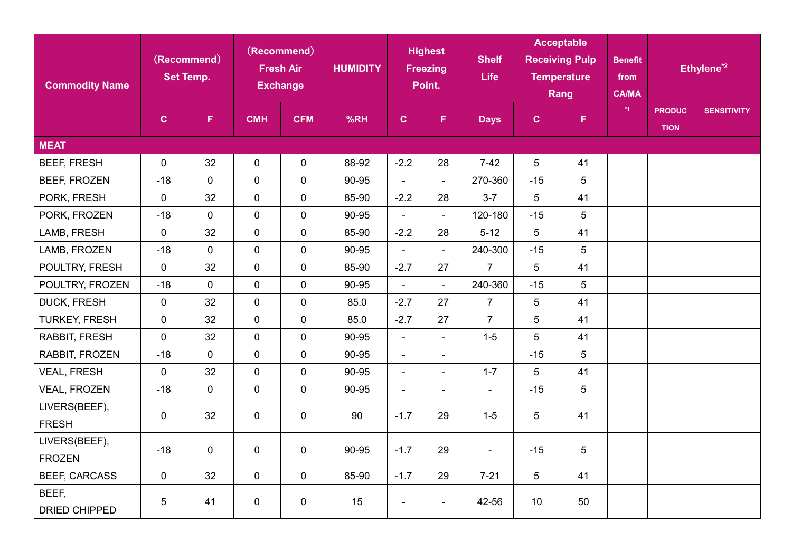| <b>Commodity Name</b>          | (Recommend)<br><b>Set Temp.</b> |                | (Recommend)<br><b>Fresh Air</b><br><b>Exchange</b> |              | <b>Highest</b><br><b>HUMIDITY</b><br><b>Freezing</b><br>Point. |                          | <b>Shelf</b><br>Life         | <b>Acceptable</b><br><b>Receiving Pulp</b><br><b>Temperature</b><br>Rang |              | <b>Benefit</b><br>from<br><b>CA/MA</b> | Ethylene <sup>*2</sup> |                              |                    |
|--------------------------------|---------------------------------|----------------|----------------------------------------------------|--------------|----------------------------------------------------------------|--------------------------|------------------------------|--------------------------------------------------------------------------|--------------|----------------------------------------|------------------------|------------------------------|--------------------|
|                                | $\mathbf{C}$                    | F.             | <b>CMH</b>                                         | <b>CFM</b>   | %RH                                                            | $\mathbf{C}$             | $\mathsf F$                  | <b>Days</b>                                                              | $\mathbf{C}$ | $\mathsf F$                            | $*1$                   | <b>PRODUC</b><br><b>TION</b> | <b>SENSITIVITY</b> |
| <b>MEAT</b>                    |                                 |                |                                                    |              |                                                                |                          |                              |                                                                          |              |                                        |                        |                              |                    |
| <b>BEEF, FRESH</b>             | $\mathbf 0$                     | 32             | $\overline{0}$                                     | $\mathbf 0$  | 88-92                                                          | $-2.2$                   | 28                           | $7-42$                                                                   | 5            | 41                                     |                        |                              |                    |
| BEEF, FROZEN                   | $-18$                           | $\overline{0}$ | $\overline{0}$                                     | $\mathbf 0$  | 90-95                                                          | $\blacksquare$           | $\overline{\phantom{a}}$     | 270-360                                                                  | $-15$        | 5                                      |                        |                              |                    |
| PORK, FRESH                    | $\mathbf 0$                     | 32             | $\overline{0}$                                     | $\mathbf 0$  | 85-90                                                          | $-2.2$                   | 28                           | $3 - 7$                                                                  | 5            | 41                                     |                        |                              |                    |
| PORK, FROZEN                   | $-18$                           | $\mathbf 0$    | $\overline{0}$                                     | $\mathbf 0$  | 90-95                                                          | $\overline{\phantom{a}}$ | $\blacksquare$               | 120-180                                                                  | $-15$        | 5                                      |                        |                              |                    |
| LAMB, FRESH                    | $\mathbf 0$                     | 32             | $\overline{0}$                                     | $\mathbf 0$  | 85-90                                                          | $-2.2$                   | 28                           | $5 - 12$                                                                 | 5            | 41                                     |                        |                              |                    |
| LAMB, FROZEN                   | $-18$                           | $\mathbf 0$    | $\overline{0}$                                     | $\mathbf 0$  | 90-95                                                          | $\blacksquare$           | $\blacksquare$               | 240-300                                                                  | $-15$        | 5                                      |                        |                              |                    |
| POULTRY, FRESH                 | $\mathbf 0$                     | 32             | $\mathbf 0$                                        | $\pmb{0}$    | 85-90                                                          | $-2.7$                   | 27                           | $\overline{7}$                                                           | 5            | 41                                     |                        |                              |                    |
| POULTRY, FROZEN                | $-18$                           | $\mathbf{0}$   | $\overline{0}$                                     | $\mathbf 0$  | 90-95                                                          | $\overline{\phantom{a}}$ | $\overline{\phantom{a}}$     | 240-360                                                                  | $-15$        | 5                                      |                        |                              |                    |
| <b>DUCK, FRESH</b>             | $\mathbf 0$                     | 32             | $\overline{0}$                                     | $\mathbf 0$  | 85.0                                                           | $-2.7$                   | 27                           | $\overline{7}$                                                           | 5            | 41                                     |                        |                              |                    |
| <b>TURKEY, FRESH</b>           | $\mathbf 0$                     | 32             | $\overline{0}$                                     | $\mathbf 0$  | 85.0                                                           | $-2.7$                   | 27                           | $\overline{7}$                                                           | 5            | 41                                     |                        |                              |                    |
| RABBIT, FRESH                  | $\mathbf 0$                     | 32             | $\overline{0}$                                     | $\pmb{0}$    | 90-95                                                          | $\overline{\phantom{a}}$ | $\blacksquare$               | $1-5$                                                                    | 5            | 41                                     |                        |                              |                    |
| RABBIT, FROZEN                 | $-18$                           | $\mathbf{0}$   | $\overline{0}$                                     | $\mathbf{0}$ | 90-95                                                          | $\blacksquare$           | $\overline{\phantom{a}}$     |                                                                          | $-15$        | 5                                      |                        |                              |                    |
| <b>VEAL, FRESH</b>             | $\mathbf 0$                     | 32             | $\overline{0}$                                     | $\mathbf 0$  | 90-95                                                          | $\overline{\phantom{a}}$ | $\overline{\phantom{a}}$     | $1 - 7$                                                                  | 5            | 41                                     |                        |                              |                    |
| <b>VEAL, FROZEN</b>            | $-18$                           | $\mathbf 0$    | $\mathbf 0$                                        | $\pmb{0}$    | 90-95                                                          | $\overline{\phantom{a}}$ | $\qquad \qquad \blacksquare$ | $\overline{\phantom{a}}$                                                 | $-15$        | 5                                      |                        |                              |                    |
| LIVERS(BEEF),<br><b>FRESH</b>  | $\mathbf 0$                     | 32             | $\mathbf 0$                                        | $\mathbf 0$  | 90                                                             | $-1.7$                   | 29                           | $1 - 5$                                                                  | 5            | 41                                     |                        |                              |                    |
| LIVERS(BEEF),<br><b>FROZEN</b> | $-18$                           | 0              | $\mathbf 0$                                        | $\mathbf 0$  | 90-95                                                          | $-1.7$                   | 29                           | $\blacksquare$                                                           | $-15$        | 5                                      |                        |                              |                    |
| <b>BEEF, CARCASS</b>           | $\mathbf 0$                     | 32             | $\overline{0}$                                     | $\mathbf 0$  | 85-90                                                          | $-1.7$                   | 29                           | $7 - 21$                                                                 | 5            | 41                                     |                        |                              |                    |
| BEEF,<br>DRIED CHIPPED         | 5                               | 41             | $\mathbf 0$                                        | $\mathbf 0$  | 15                                                             | $\blacksquare$           | $\blacksquare$               | 42-56                                                                    | 10           | 50                                     |                        |                              |                    |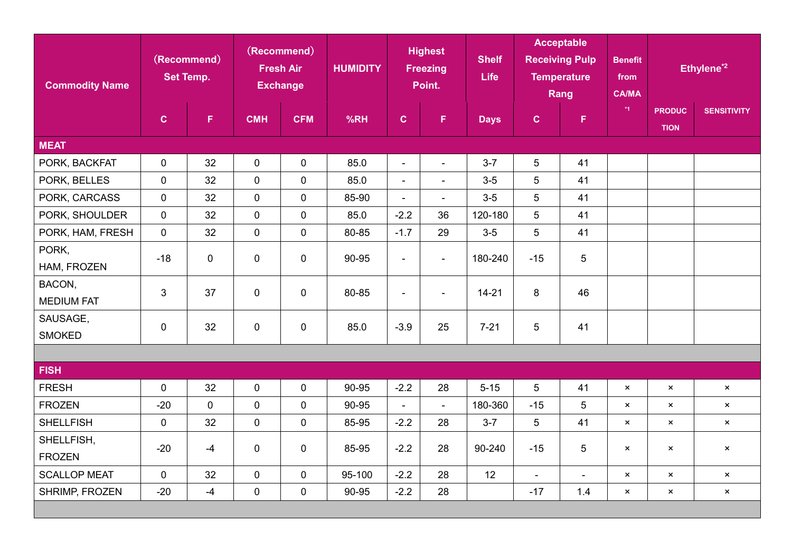| <b>Commodity Name</b> | (Recommend)<br><b>Set Temp.</b> |             | (Recommend)<br><b>Fresh Air</b><br><b>Exchange</b> |             | <b>Highest</b><br><b>HUMIDITY</b><br><b>Freezing</b><br>Point. |                          | <b>Shelf</b><br>Life     | <b>Acceptable</b><br><b>Receiving Pulp</b><br><b>Temperature</b><br>Rang |                          | <b>Benefit</b><br>from<br><b>CA/MA</b> |                           | Ethylene <sup>*2</sup>       |                           |
|-----------------------|---------------------------------|-------------|----------------------------------------------------|-------------|----------------------------------------------------------------|--------------------------|--------------------------|--------------------------------------------------------------------------|--------------------------|----------------------------------------|---------------------------|------------------------------|---------------------------|
|                       | $\mathbf{C}$                    | F.          | <b>CMH</b>                                         | <b>CFM</b>  | %RH                                                            | $\mathbf{C}$             | F.                       | <b>Days</b>                                                              | $\mathbf{C}$             | F.                                     | $^*1$                     | <b>PRODUC</b><br><b>TION</b> | <b>SENSITIVITY</b>        |
| <b>MEAT</b>           |                                 |             |                                                    |             |                                                                |                          |                          |                                                                          |                          |                                        |                           |                              |                           |
| PORK, BACKFAT         | $\mathbf 0$                     | 32          | $\mathbf 0$                                        | $\mathbf 0$ | 85.0                                                           | $\overline{\phantom{a}}$ | $\overline{\phantom{a}}$ | $3 - 7$                                                                  | 5                        | 41                                     |                           |                              |                           |
| PORK, BELLES          | $\mathbf 0$                     | 32          | $\mathbf 0$                                        | $\mathbf 0$ | 85.0                                                           | $\blacksquare$           | $\overline{\phantom{a}}$ | $3-5$                                                                    | 5                        | 41                                     |                           |                              |                           |
| PORK, CARCASS         | $\mathbf{0}$                    | 32          | $\mathbf{0}$                                       | $\mathbf 0$ | 85-90                                                          | $\blacksquare$           | $\blacksquare$           | $3-5$                                                                    | $\overline{5}$           | 41                                     |                           |                              |                           |
| PORK, SHOULDER        | $\mathbf 0$                     | 32          | $\mathbf 0$                                        | $\mathbf 0$ | 85.0                                                           | $-2.2$                   | 36                       | 120-180                                                                  | 5                        | 41                                     |                           |                              |                           |
| PORK, HAM, FRESH      | $\mathbf 0$                     | 32          | $\mathbf 0$                                        | $\mathbf 0$ | 80-85                                                          | $-1.7$                   | 29                       | $3-5$                                                                    | 5                        | 41                                     |                           |                              |                           |
| PORK,                 | $-18$                           | 0           | $\mathbf{0}$                                       | $\pmb{0}$   | 90-95                                                          | $\blacksquare$           | $\overline{\phantom{a}}$ | 180-240                                                                  | $-15$                    | 5                                      |                           |                              |                           |
| HAM, FROZEN           |                                 |             |                                                    |             |                                                                |                          |                          |                                                                          |                          |                                        |                           |                              |                           |
| BACON,                | $\overline{3}$                  | 37          | $\mathbf{0}$                                       | $\mathbf 0$ | 80-85                                                          | $\overline{\phantom{a}}$ | $\overline{\phantom{a}}$ | $14 - 21$                                                                | 8                        | 46                                     |                           |                              |                           |
| <b>MEDIUM FAT</b>     |                                 |             |                                                    |             |                                                                |                          |                          |                                                                          |                          |                                        |                           |                              |                           |
| SAUSAGE,              | $\mathbf 0$                     | 32          | $\mathbf 0$                                        | $\pmb{0}$   | 85.0                                                           | $-3.9$                   | 25                       | $7 - 21$                                                                 | 5                        | 41                                     |                           |                              |                           |
| <b>SMOKED</b>         |                                 |             |                                                    |             |                                                                |                          |                          |                                                                          |                          |                                        |                           |                              |                           |
|                       |                                 |             |                                                    |             |                                                                |                          |                          |                                                                          |                          |                                        |                           |                              |                           |
| <b>FISH</b>           |                                 |             |                                                    |             |                                                                |                          |                          |                                                                          |                          |                                        |                           |                              |                           |
| <b>FRESH</b>          | $\mathbf 0$                     | 32          | $\mathbf 0$                                        | $\pmb{0}$   | 90-95                                                          | $-2.2$                   | 28                       | $5 - 15$                                                                 | 5                        | 41                                     | $\mathsf{x}$              | $\mathbf{x}$                 | $\times$                  |
| <b>FROZEN</b>         | $-20$                           | $\mathbf 0$ | $\mathbf 0$                                        | $\mathbf 0$ | 90-95                                                          | $\blacksquare$           | $\blacksquare$           | 180-360                                                                  | $-15$                    | 5                                      | $\pmb{\times}$            | $\pmb{\times}$               | $\pmb{\times}$            |
| <b>SHELLFISH</b>      | $\mathbf 0$                     | 32          | $\mathbf 0$                                        | $\mathbf 0$ | 85-95                                                          | $-2.2$                   | 28                       | $3 - 7$                                                                  | 5                        | 41                                     | $\mathsf{x}$              | $\pmb{\times}$               | $\pmb{\times}$            |
| SHELLFISH,            | $-20$                           | $-4$        | $\mathbf 0$                                        | $\mathbf 0$ | 85-95                                                          | $-2.2$                   | 28                       | 90-240                                                                   | $-15$                    | 5                                      | $\boldsymbol{\mathsf{x}}$ | $\boldsymbol{\mathsf{x}}$    | $\pmb{\times}$            |
| <b>FROZEN</b>         |                                 |             |                                                    |             |                                                                |                          |                          |                                                                          |                          |                                        |                           |                              |                           |
| <b>SCALLOP MEAT</b>   | $\mathbf 0$                     | 32          | $\mathbf 0$                                        | $\pmb{0}$   | 95-100                                                         | $-2.2$                   | 28                       | 12                                                                       | $\overline{\phantom{a}}$ | $\overline{\phantom{a}}$               | $\mathsf{x}$              | $\boldsymbol{\mathsf{x}}$    | $\boldsymbol{\mathsf{x}}$ |
| SHRIMP, FROZEN        | $-20$                           | $-4$        | $\mathbf 0$                                        | $\mathbf 0$ | 90-95                                                          | $-2.2$                   | 28                       |                                                                          | $-17$                    | 1.4                                    | $\pmb{\times}$            | $\pmb{\times}$               | $\times$                  |
|                       |                                 |             |                                                    |             |                                                                |                          |                          |                                                                          |                          |                                        |                           |                              |                           |